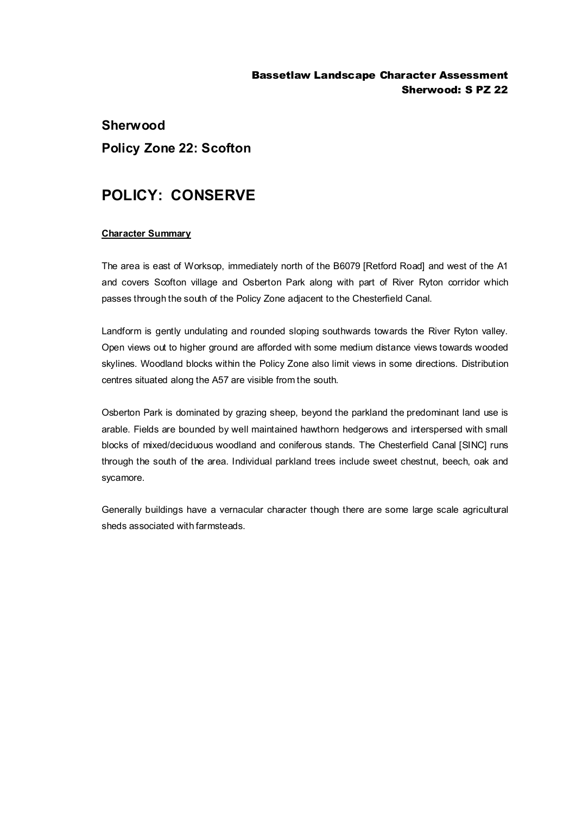### Bassetlaw Landscape Character Assessment Sherwood: S PZ 22

# **Sherwood Policy Zone 22: Scofton**

## **POLICY: CONSERVE**

#### **Character Summary**

The area is east of Worksop, immediately north of the B6079 [Retford Road] and west of the A1 and covers Scofton village and Osberton Park along with part of River Ryton corridor which passes through the south of the Policy Zone adjacent to the Chesterfield Canal.

Landform is gently undulating and rounded sloping southwards towards the River Ryton valley. Open views out to higher ground are afforded with some medium distance views towards wooded skylines. Woodland blocks within the Policy Zone also limit views in some directions. Distribution centres situated along the A57 are visible from the south.

Osberton Park is dominated by grazing sheep, beyond the parkland the predominant land use is arable. Fields are bounded by well maintained hawthorn hedgerows and interspersed with small blocks of mixed/deciduous woodland and coniferous stands. The Chesterfield Canal [SINC] runs through the south of the area. Individual parkland trees include sweet chestnut, beech, oak and sycamore.

Generally buildings have a vernacular character though there are some large scale agricultural sheds associated with farmsteads.